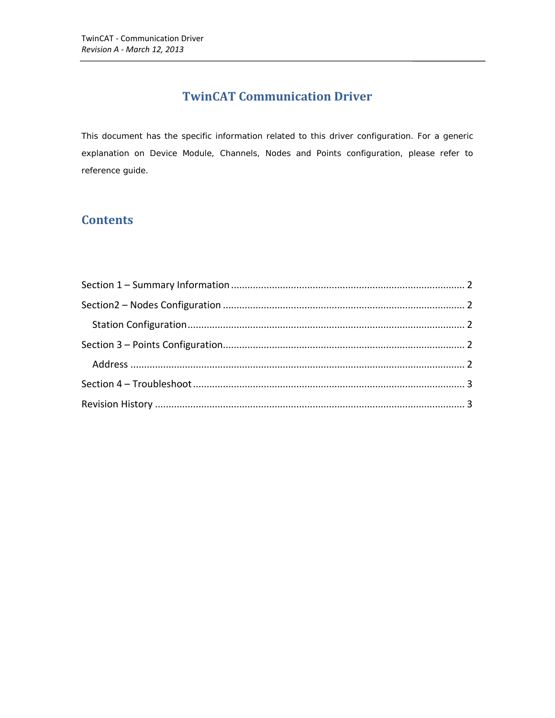## **TwinCAT Communication Driver**

This document has the specific information related to this driver configuration. For a generic explanation on Device Module, Channels, Nodes and Points configuration, please refer to reference guide.

## **Contents**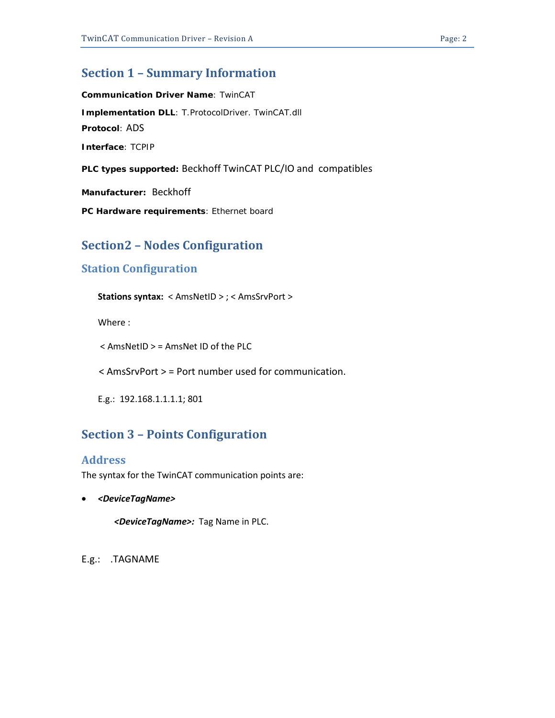### <span id="page-1-0"></span>**Section 1 – Summary Information**

**Communication Driver Name**: TwinCAT **Implementation DLL**: T.ProtocolDriver. TwinCAT.dll **Protocol**: ADS **Interface**: TCPIP **PLC types supported:** Beckhoff TwinCAT PLC/IO and compatibles

**Manufacturer:** Beckhoff

<span id="page-1-1"></span>**PC Hardware requirements**: Ethernet board

## **Section2 – Nodes Configuration**

### <span id="page-1-2"></span>**Station Configuration**

**Stations syntax:** < AmsNetID > ; < AmsSrvPort >

Where :

< AmsNetID > = AmsNet ID of the PLC

< AmsSrvPort > = Port number used for communication.

<span id="page-1-3"></span>E.g.: 192.168.1.1.1.1; 801

## **Section 3 – Points Configuration**

#### <span id="page-1-4"></span>**Address**

The syntax for the TwinCAT communication points are:

• *<DeviceTagName>*

*<DeviceTagName>:* Tag Name in PLC.

E.g.: .TAGNAME